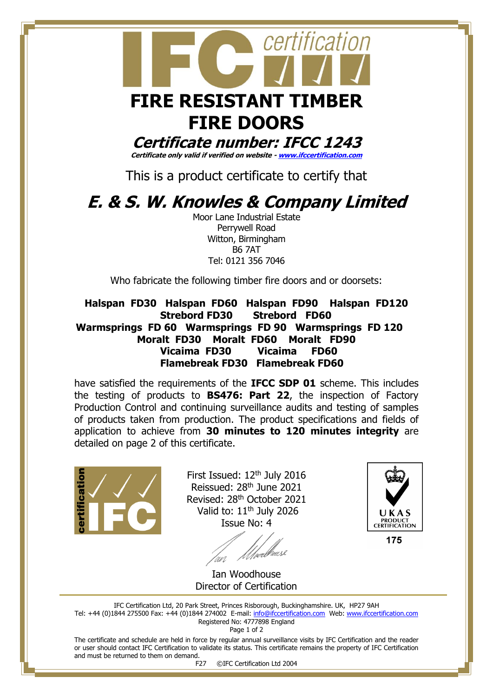

**Certificate number: IFCC 1243**

**Certificate only valid if verified on website - [www.ifccertification.com](http://www.ifccertification.com/)**

This is a product certificate to certify that

## **E. & S. W. Knowles & Company Limited**

Moor Lane Industrial Estate Perrywell Road Witton, Birmingham B6 7AT Tel: 0121 356 7046

Who fabricate the following timber fire doors and or doorsets:

 **Halspan FD30 Halspan FD60 Halspan FD90 Halspan FD120 Strebord FD30 Strebord FD60 Warmsprings FD 60 Warmsprings FD 90 Warmsprings FD 120 Moralt FD30 Moralt FD60 Moralt FD90 Vicaima FD30 Vicaima FD60 Flamebreak FD30 Flamebreak FD60**

have satisfied the requirements of the **IFCC SDP 01** scheme. This includes the testing of products to **BS476: Part 22**, the inspection of Factory Production Control and continuing surveillance audits and testing of samples of products taken from production. The product specifications and fields of application to achieve from **30 minutes to 120 minutes integrity** are detailed on page 2 of this certificate.



First Issued:  $12<sup>th</sup>$  July 2016 Reissued: 28th June 2021 Revised: 28th October 2021 Valid to:  $11<sup>th</sup>$  July 2026 Issue No: 4



175

<u> U/</u>perl<sup>y</sup> Ian Woodhouse

Director of Certification

IFC Certification Ltd, 20 Park Street, Princes Risborough, Buckinghamshire. UK, HP27 9AH Tel: +44 (0)1844 275500 Fax: +44 (0)1844 274002 E-mail: [info@ifccertification.com](mailto:info@ifccertification.com) Web: [www.ifccertification.com](http://www.ifccertification.com/) Registered No: 4777898 England

Page 1 of 2

The certificate and schedule are held in force by regular annual surveillance visits by IFC Certification and the reader or user should contact IFC Certification to validate its status. This certificate remains the property of IFC Certification and must be returned to them on demand.

F27 ©IFC Certification Ltd 2004